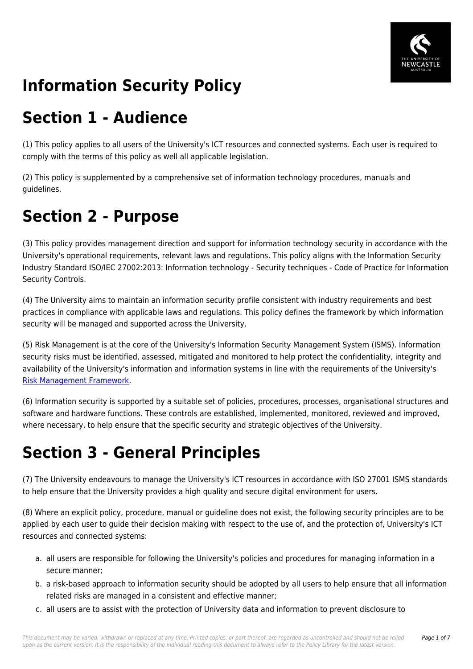

# **Information Security Policy**

## **Section 1 - Audience**

(1) This policy applies to all users of the University's ICT resources and connected systems. Each user is required to comply with the terms of this policy as well all applicable legislation.

(2) This policy is supplemented by a comprehensive set of information technology procedures, manuals and guidelines.

## **Section 2 - Purpose**

(3) This policy provides management direction and support for information technology security in accordance with the University's operational requirements, relevant laws and regulations. This policy aligns with the Information Security Industry Standard ISO/IEC 27002:2013: Information technology - Security techniques - Code of Practice for Information Security Controls.

(4) The University aims to maintain an information security profile consistent with industry requirements and best practices in compliance with applicable laws and regulations. This policy defines the framework by which information security will be managed and supported across the University.

(5) Risk Management is at the core of the University's Information Security Management System (ISMS). Information security risks must be identified, assessed, mitigated and monitored to help protect the confidentiality, integrity and availability of the University's information and information systems in line with the requirements of the University's [Risk Management Framework](https://policies.newcastle.edu.au/document/view-current.php?id=247).

(6) Information security is supported by a suitable set of policies, procedures, processes, organisational structures and software and hardware functions. These controls are established, implemented, monitored, reviewed and improved, where necessary, to help ensure that the specific security and strategic objectives of the University.

## **Section 3 - General Principles**

(7) The University endeavours to manage the University's ICT resources in accordance with ISO 27001 ISMS standards to help ensure that the University provides a high quality and secure digital environment for users.

(8) Where an explicit policy, procedure, manual or guideline does not exist, the following security principles are to be applied by each user to guide their decision making with respect to the use of, and the protection of, University's ICT resources and connected systems:

- a. all users are responsible for following the University's policies and procedures for managing information in a secure manner;
- b. a risk-based approach to information security should be adopted by all users to help ensure that all information related risks are managed in a consistent and effective manner;
- c. all users are to assist with the protection of University data and information to prevent disclosure to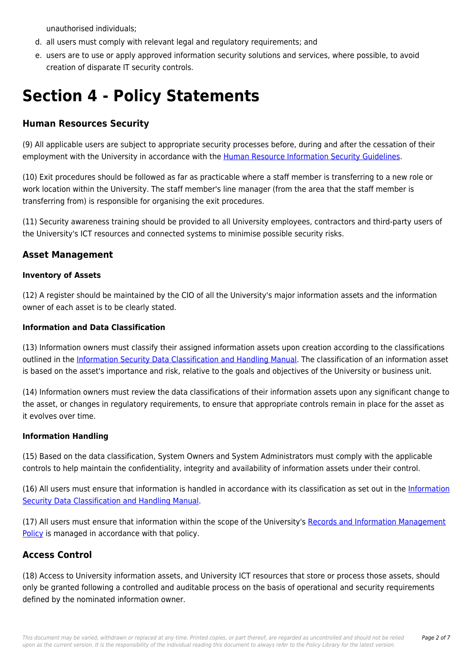unauthorised individuals;

- d. all users must comply with relevant legal and regulatory requirements; and
- e. users are to use or apply approved information security solutions and services, where possible, to avoid creation of disparate IT security controls.

## **Section 4 - Policy Statements**

## **Human Resources Security**

(9) All applicable users are subject to appropriate security processes before, during and after the cessation of their employment with the University in accordance with the [Human Resource Information Security Guidelines.](https://policies.newcastle.edu.au/document/view-current.php?id=263)

(10) Exit procedures should be followed as far as practicable where a staff member is transferring to a new role or work location within the University. The staff member's line manager (from the area that the staff member is transferring from) is responsible for organising the exit procedures.

(11) Security awareness training should be provided to all University employees, contractors and third-party users of the University's ICT resources and connected systems to minimise possible security risks.

#### **Asset Management**

#### **Inventory of Assets**

(12) A register should be maintained by the CIO of all the University's major information assets and the information owner of each asset is to be clearly stated.

#### **Information and Data Classification**

(13) Information owners must classify their assigned information assets upon creation according to the classifications outlined in the [Information Security Data Classification and Handling Manual.](https://policies.newcastle.edu.au/document/view-current.php?id=256) The classification of an information asset is based on the asset's importance and risk, relative to the goals and objectives of the University or business unit.

(14) Information owners must review the data classifications of their information assets upon any significant change to the asset, or changes in regulatory requirements, to ensure that appropriate controls remain in place for the asset as it evolves over time.

#### **Information Handling**

(15) Based on the data classification, System Owners and System Administrators must comply with the applicable controls to help maintain the confidentiality, integrity and availability of information assets under their control.

(16) All users must ensure that information is handled in accordance with its classification as set out in the [Information](https://policies.newcastle.edu.au/document/view-current.php?id=256) [Security Data Classification and Handling Manual](https://policies.newcastle.edu.au/document/view-current.php?id=256).

(17) All users must ensure that information within the scope of the University's [Records and Information Management](https://policies.newcastle.edu.au/document/view-current.php?id=81) [Policy](https://policies.newcastle.edu.au/document/view-current.php?id=81) is managed in accordance with that policy.

#### **Access Control**

(18) Access to University information assets, and University ICT resources that store or process those assets, should only be granted following a controlled and auditable process on the basis of operational and security requirements defined by the nominated information owner.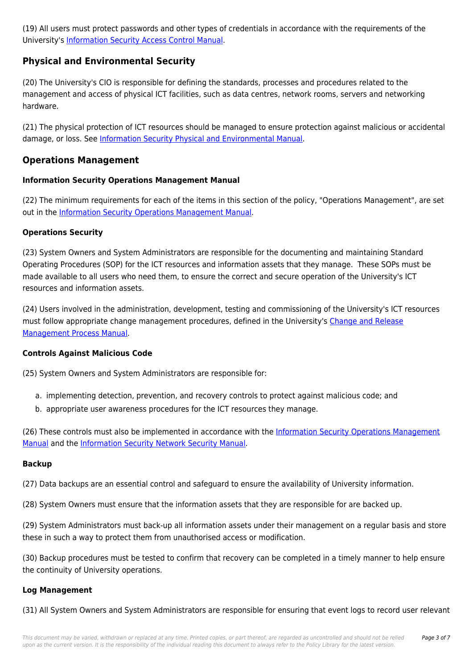(19) All users must protect passwords and other types of credentials in accordance with the requirements of the University's [Information Security Access Control Manual.](https://policies.newcastle.edu.au/document/view-current.php?id=257)

## **Physical and Environmental Security**

(20) The University's CIO is responsible for defining the standards, processes and procedures related to the management and access of physical ICT facilities, such as data centres, network rooms, servers and networking hardware.

(21) The physical protection of ICT resources should be managed to ensure protection against malicious or accidental damage, or loss. See [Information Security Physical and Environmental Manual.](https://policies.newcastle.edu.au/document/view-current.php?id=255)

### **Operations Management**

#### **Information Security Operations Management Manual**

(22) The minimum requirements for each of the items in this section of the policy, "Operations Management", are set out in the [Information Security Operations Management Manual.](https://policies.newcastle.edu.au/document/view-current.php?id=262)

#### **Operations Security**

(23) System Owners and System Administrators are responsible for the documenting and maintaining Standard Operating Procedures (SOP) for the ICT resources and information assets that they manage. These SOPs must be made available to all users who need them, to ensure the correct and secure operation of the University's ICT resources and information assets.

(24) Users involved in the administration, development, testing and commissioning of the University's ICT resources must follow appropriate change management procedures, defined in the University's [Change and Release](https://policies.newcastle.edu.au/download.php?id=565&version=1&associated) [Management Process Manual](https://policies.newcastle.edu.au/download.php?id=565&version=1&associated).

#### **Controls Against Malicious Code**

(25) System Owners and System Administrators are responsible for:

- a. implementing detection, prevention, and recovery controls to protect against malicious code; and
- b. appropriate user awareness procedures for the ICT resources they manage.

(26) These controls must also be implemented in accordance with the [Information Security Operations Management](https://policies.newcastle.edu.au/document/view-current.php?id=261) [Manual](https://policies.newcastle.edu.au/document/view-current.php?id=261) and the [Information Security Network Security Manual](https://policies.newcastle.edu.au/document/view-current.php?id=262).

#### **Backup**

(27) Data backups are an essential control and safeguard to ensure the availability of University information.

(28) System Owners must ensure that the information assets that they are responsible for are backed up.

(29) System Administrators must back-up all information assets under their management on a regular basis and store these in such a way to protect them from unauthorised access or modification.

(30) Backup procedures must be tested to confirm that recovery can be completed in a timely manner to help ensure the continuity of University operations.

#### **Log Management**

(31) All System Owners and System Administrators are responsible for ensuring that event logs to record user relevant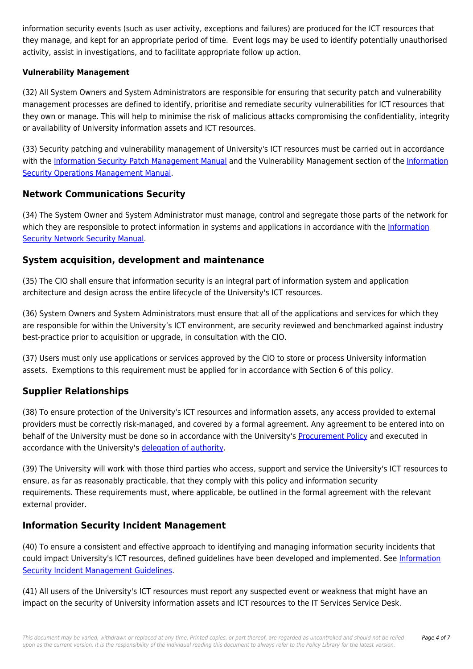information security events (such as user activity, exceptions and failures) are produced for the ICT resources that they manage, and kept for an appropriate period of time. Event logs may be used to identify potentially unauthorised activity, assist in investigations, and to facilitate appropriate follow up action.

#### **Vulnerability Management**

(32) All System Owners and System Administrators are responsible for ensuring that security patch and vulnerability management processes are defined to identify, prioritise and remediate security vulnerabilities for ICT resources that they own or manage. This will help to minimise the risk of malicious attacks compromising the confidentiality, integrity or availability of University information assets and ICT resources.

(33) Security patching and vulnerability management of University's ICT resources must be carried out in accordance with the [Information Security Patch Management Manual](https://policies.newcastle.edu.au/document/view-current.php?id=260) and the Vulnerability Management section of the [Information](https://policies.newcastle.edu.au/document/view-current.php?id=261) [Security Operations Management Manual](https://policies.newcastle.edu.au/document/view-current.php?id=261).

### **Network Communications Security**

(34) The System Owner and System Administrator must manage, control and segregate those parts of the network for which they are responsible to protect information in systems and applications in accordance with the [Information](https://policies.newcastle.edu.au/document/view-current.php?id=262) [Security Network Security Manual](https://policies.newcastle.edu.au/document/view-current.php?id=262).

### **System acquisition, development and maintenance**

(35) The CIO shall ensure that information security is an integral part of information system and application architecture and design across the entire lifecycle of the University's ICT resources.

(36) System Owners and System Administrators must ensure that all of the applications and services for which they are responsible for within the University's ICT environment, are security reviewed and benchmarked against industry best-practice prior to acquisition or upgrade, in consultation with the CIO.

(37) Users must only use applications or services approved by the CIO to store or process University information assets. Exemptions to this requirement must be applied for in accordance with Section 6 of this policy.

## **Supplier Relationships**

(38) To ensure protection of the University's ICT resources and information assets, any access provided to external providers must be correctly risk-managed, and covered by a formal agreement. Any agreement to be entered into on behalf of the University must be done so in accordance with the University's [Procurement Policy](https://policies.newcastle.edu.au/document/view-current.php?id=92) and executed in accordance with the University's [delegation of authority](https://policies.newcastle.edu.au/download.php?id=255&version=1&associated).

(39) The University will work with those third parties who access, support and service the University's ICT resources to ensure, as far as reasonably practicable, that they comply with this policy and information security requirements. These requirements must, where applicable, be outlined in the formal agreement with the relevant external provider.

## **Information Security Incident Management**

(40) To ensure a consistent and effective approach to identifying and managing information security incidents that could impact University's ICT resources, defined guidelines have been developed and implemented. See [Information](https://policies.newcastle.edu.au/document/view-current.php?id=258) [Security Incident Management Guidelines.](https://policies.newcastle.edu.au/document/view-current.php?id=258)

(41) All users of the University's ICT resources must report any suspected event or weakness that might have an impact on the security of University information assets and ICT resources to the IT Services Service Desk.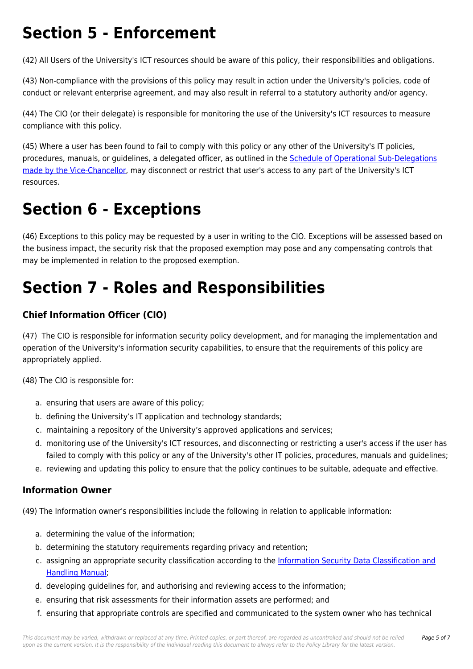## **Section 5 - Enforcement**

(42) All Users of the University's ICT resources should be aware of this policy, their responsibilities and obligations.

(43) Non-compliance with the provisions of this policy may result in action under the University's policies, code of conduct or relevant enterprise agreement, and may also result in referral to a statutory authority and/or agency.

(44) The CIO (or their delegate) is responsible for monitoring the use of the University's ICT resources to measure compliance with this policy.

(45) Where a user has been found to fail to comply with this policy or any other of the University's IT policies, procedures, manuals, or guidelines, a delegated officer, as outlined in the Schedule of Operational Sub-Delegations [made by the Vice‐Chancellor,](https://policies.newcastle.edu.au/download.php?id=417&version=4&associated) may disconnect or restrict that user's access to any part of the University's ICT resources.

## **Section 6 - Exceptions**

(46) Exceptions to this policy may be requested by a user in writing to the CIO. Exceptions will be assessed based on the business impact, the security risk that the proposed exemption may pose and any compensating controls that may be implemented in relation to the proposed exemption.

# **Section 7 - Roles and Responsibilities**

## **Chief Information Officer (CIO)**

(47) The CIO is responsible for information security policy development, and for managing the implementation and operation of the University's information security capabilities, to ensure that the requirements of this policy are appropriately applied.

(48) The CIO is responsible for:

- a. ensuring that users are aware of this policy;
- b. defining the University's IT application and technology standards;
- c. maintaining a repository of the University's approved applications and services;
- d. monitoring use of the University's ICT resources, and disconnecting or restricting a user's access if the user has failed to comply with this policy or any of the University's other IT policies, procedures, manuals and guidelines;
- e. reviewing and updating this policy to ensure that the policy continues to be suitable, adequate and effective.

## **Information Owner**

(49) The Information owner's responsibilities include the following in relation to applicable information:

- a. determining the value of the information;
- b. determining the statutory requirements regarding privacy and retention;
- c. assigning an appropriate security classification according to the [Information Security Data Classification and](https://policies.newcastle.edu.au/document/view-current.php?id=256) [Handling Manual;](https://policies.newcastle.edu.au/document/view-current.php?id=256)
- d. developing guidelines for, and authorising and reviewing access to the information;
- e. ensuring that risk assessments for their information assets are performed; and
- f. ensuring that appropriate controls are specified and communicated to the system owner who has technical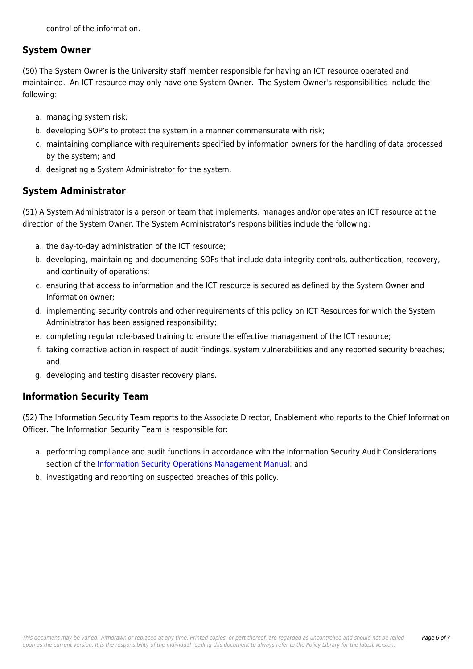control of the information.

### **System Owner**

(50) The System Owner is the University staff member responsible for having an ICT resource operated and maintained. An ICT resource may only have one System Owner. The System Owner's responsibilities include the following:

- a. managing system risk;
- b. developing SOP's to protect the system in a manner commensurate with risk;
- c. maintaining compliance with requirements specified by information owners for the handling of data processed by the system; and
- d. designating a System Administrator for the system.

## **System Administrator**

(51) A System Administrator is a person or team that implements, manages and/or operates an ICT resource at the direction of the System Owner. The System Administrator's responsibilities include the following:

- a. the day-to-day administration of the ICT resource;
- b. developing, maintaining and documenting SOPs that include data integrity controls, authentication, recovery, and continuity of operations;
- c. ensuring that access to information and the ICT resource is secured as defined by the System Owner and Information owner;
- d. implementing security controls and other requirements of this policy on ICT Resources for which the System Administrator has been assigned responsibility;
- e. completing regular role-based training to ensure the effective management of the ICT resource;
- f. taking corrective action in respect of audit findings, system vulnerabilities and any reported security breaches; and
- g. developing and testing disaster recovery plans.

## **Information Security Team**

(52) The Information Security Team reports to the Associate Director, Enablement who reports to the Chief Information Officer. The Information Security Team is responsible for:

- a. performing compliance and audit functions in accordance with the Information Security Audit Considerations section of the [Information Security Operations Management Manual;](https://policies.newcastle.edu.au/document/view-current.php?id=261) and
- b. investigating and reporting on suspected breaches of this policy.